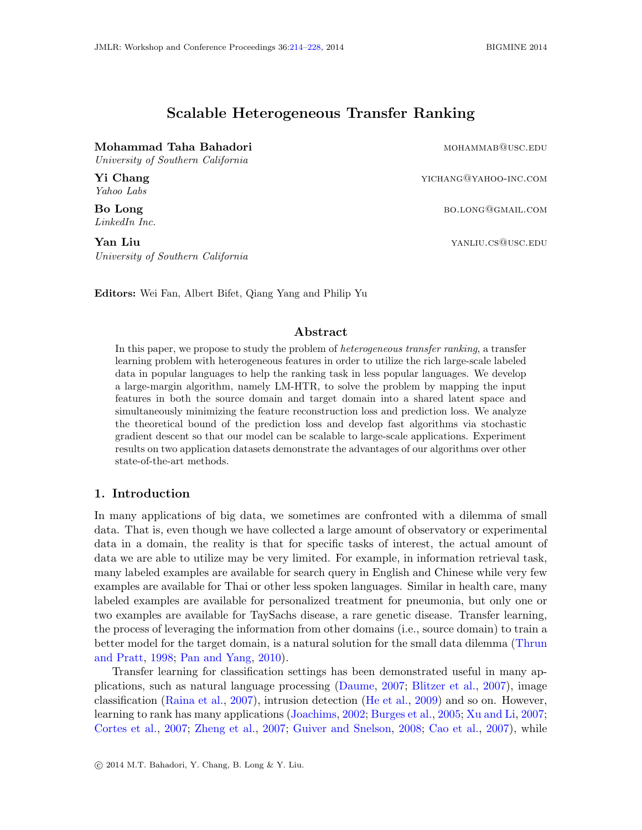# Scalable Heterogeneous Transfer Ranking

## <span id="page-0-0"></span>Mohammad Taha Bahadori mohammab@usc.edu

University of Southern California

Yahoo Labs

LinkedIn Inc.

**Yan Liu**  $Y$ an  $Y$ an  $Y$ an  $Y$ an  $Y$ an  $Y$ an  $Y$ an  $Y$ an  $Y$ an  $Y$ an  $Y$ an  $Y$ an  $Y$ an  $Y$ an  $Y$ an  $Y$ an  $Y$ an  $Y$ an  $Y$ an  $Y$ an  $Y$ an  $Y$ an  $Y$ an  $Y$ an  $Y$ an  $Y$ an  $Y$ an  $Y$ an  $Y$ an  $Y$ an  $Y$ an  $Y$ an  $Y$ an  $Y$ an  $Y$ an  $Y$ University of Southern California

Yi Chang yichang yichang yichang yichang yichang yichang yichang yichang yichang yichang yichang yichang yichang yichang yichang yichang yichang yichang yichang yichang yichang yichang yichang yichang yichang yichang yicha

Bo Long both and the set of the set of the set of the set of the set of the set of the set of the set of the set of the set of the set of the set of the set of the set of the set of the set of the set of the set of the set

Editors: Wei Fan, Albert Bifet, Qiang Yang and Philip Yu

## Abstract

In this paper, we propose to study the problem of heterogeneous transfer ranking, a transfer learning problem with heterogeneous features in order to utilize the rich large-scale labeled data in popular languages to help the ranking task in less popular languages. We develop a large-margin algorithm, namely LM-HTR, to solve the problem by mapping the input features in both the source domain and target domain into a shared latent space and simultaneously minimizing the feature reconstruction loss and prediction loss. We analyze the theoretical bound of the prediction loss and develop fast algorithms via stochastic gradient descent so that our model can be scalable to large-scale applications. Experiment results on two application datasets demonstrate the advantages of our algorithms over other state-of-the-art methods.

# 1. Introduction

In many applications of big data, we sometimes are confronted with a dilemma of small data. That is, even though we have collected a large amount of observatory or experimental data in a domain, the reality is that for specific tasks of interest, the actual amount of data we are able to utilize may be very limited. For example, in information retrieval task, many labeled examples are available for search query in English and Chinese while very few examples are available for Thai or other less spoken languages. Similar in health care, many labeled examples are available for personalized treatment for pneumonia, but only one or two examples are available for TaySachs disease, a rare genetic disease. Transfer learning, the process of leveraging the information from other domains (i.e., source domain) to train a better model for the target domain, is a natural solution for the small data dilemma [\(Thrun](#page-13-0) [and Pratt,](#page-13-0) [1998;](#page-13-0) [Pan and Yang,](#page-12-0) [2010\)](#page-12-0).

Transfer learning for classification settings has been demonstrated useful in many applications, such as natural language processing [\(Daume,](#page-12-1) [2007;](#page-12-1) [Blitzer et al.,](#page-12-2) [2007\)](#page-12-2), image classification [\(Raina et al.,](#page-13-1) [2007\)](#page-13-1), intrusion detection [\(He et al.,](#page-12-3) [2009\)](#page-12-3) and so on. However, learning to rank has many applications [\(Joachims,](#page-12-4) [2002;](#page-12-4) [Burges et al.,](#page-12-5) [2005;](#page-12-5) [Xu and Li,](#page-13-2) [2007;](#page-13-2) [Cortes et al.,](#page-12-6) [2007;](#page-12-6) [Zheng et al.,](#page-13-3) [2007;](#page-13-3) [Guiver and Snelson,](#page-12-7) [2008;](#page-12-7) [Cao et al.,](#page-12-8) [2007\)](#page-12-8), while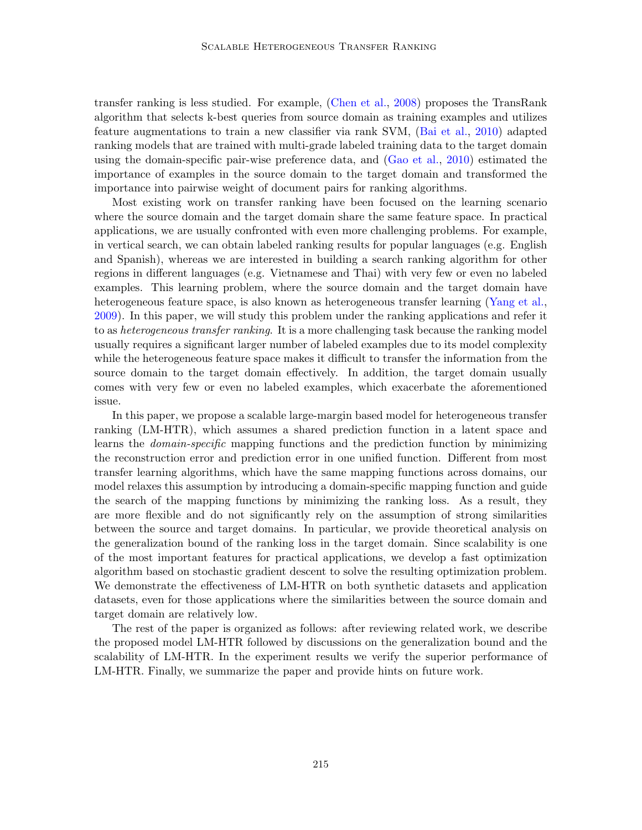transfer ranking is less studied. For example, [\(Chen et al.,](#page-12-9) [2008\)](#page-12-9) proposes the TransRank algorithm that selects k-best queries from source domain as training examples and utilizes feature augmentations to train a new classifier via rank SVM, [\(Bai et al.,](#page-11-0) [2010\)](#page-11-0) adapted ranking models that are trained with multi-grade labeled training data to the target domain using the domain-specific pair-wise preference data, and [\(Gao et al.,](#page-12-10) [2010\)](#page-12-10) estimated the importance of examples in the source domain to the target domain and transformed the importance into pairwise weight of document pairs for ranking algorithms.

Most existing work on transfer ranking have been focused on the learning scenario where the source domain and the target domain share the same feature space. In practical applications, we are usually confronted with even more challenging problems. For example, in vertical search, we can obtain labeled ranking results for popular languages (e.g. English and Spanish), whereas we are interested in building a search ranking algorithm for other regions in different languages (e.g. Vietnamese and Thai) with very few or even no labeled examples. This learning problem, where the source domain and the target domain have heterogeneous feature space, is also known as heterogeneous transfer learning [\(Yang et al.,](#page-13-4) [2009\)](#page-13-4). In this paper, we will study this problem under the ranking applications and refer it to as *heterogeneous transfer ranking*. It is a more challenging task because the ranking model usually requires a significant larger number of labeled examples due to its model complexity while the heterogeneous feature space makes it difficult to transfer the information from the source domain to the target domain effectively. In addition, the target domain usually comes with very few or even no labeled examples, which exacerbate the aforementioned issue.

In this paper, we propose a scalable large-margin based model for heterogeneous transfer ranking (LM-HTR), which assumes a shared prediction function in a latent space and learns the domain-specific mapping functions and the prediction function by minimizing the reconstruction error and prediction error in one unified function. Different from most transfer learning algorithms, which have the same mapping functions across domains, our model relaxes this assumption by introducing a domain-specific mapping function and guide the search of the mapping functions by minimizing the ranking loss. As a result, they are more flexible and do not significantly rely on the assumption of strong similarities between the source and target domains. In particular, we provide theoretical analysis on the generalization bound of the ranking loss in the target domain. Since scalability is one of the most important features for practical applications, we develop a fast optimization algorithm based on stochastic gradient descent to solve the resulting optimization problem. We demonstrate the effectiveness of LM-HTR on both synthetic datasets and application datasets, even for those applications where the similarities between the source domain and target domain are relatively low.

The rest of the paper is organized as follows: after reviewing related work, we describe the proposed model LM-HTR followed by discussions on the generalization bound and the scalability of LM-HTR. In the experiment results we verify the superior performance of LM-HTR. Finally, we summarize the paper and provide hints on future work.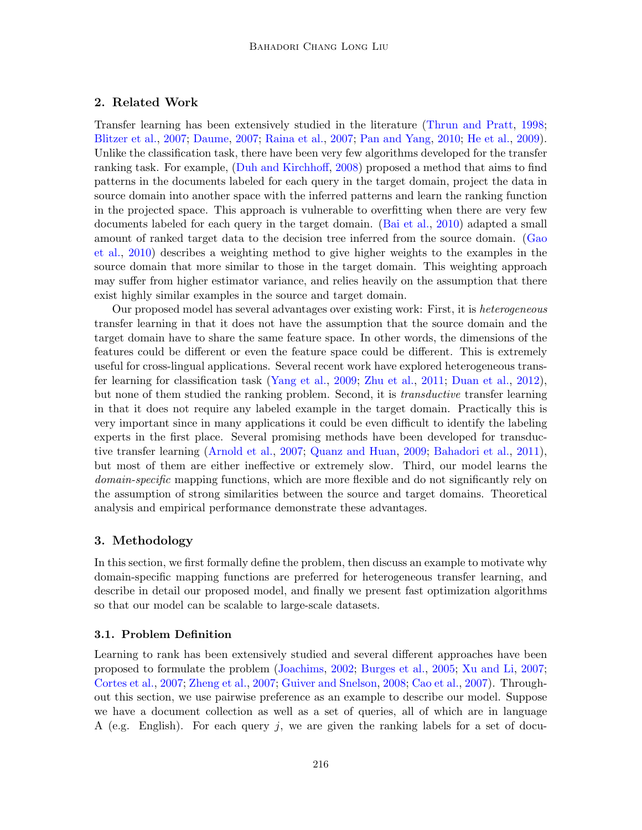## 2. Related Work

Transfer learning has been extensively studied in the literature [\(Thrun and Pratt,](#page-13-0) [1998;](#page-13-0) [Blitzer et al.,](#page-12-2) [2007;](#page-12-2) [Daume,](#page-12-1) [2007;](#page-12-1) [Raina et al.,](#page-13-1) [2007;](#page-13-1) [Pan and Yang,](#page-12-0) [2010;](#page-12-0) [He et al.,](#page-12-3) [2009\)](#page-12-3). Unlike the classification task, there have been very few algorithms developed for the transfer ranking task. For example, [\(Duh and Kirchhoff,](#page-12-11) [2008\)](#page-12-11) proposed a method that aims to find patterns in the documents labeled for each query in the target domain, project the data in source domain into another space with the inferred patterns and learn the ranking function in the projected space. This approach is vulnerable to overfitting when there are very few documents labeled for each query in the target domain. [\(Bai et al.,](#page-11-0) [2010\)](#page-11-0) adapted a small amount of ranked target data to the decision tree inferred from the source domain. [\(Gao](#page-12-10) [et al.,](#page-12-10) [2010\)](#page-12-10) describes a weighting method to give higher weights to the examples in the source domain that more similar to those in the target domain. This weighting approach may suffer from higher estimator variance, and relies heavily on the assumption that there exist highly similar examples in the source and target domain.

Our proposed model has several advantages over existing work: First, it is heterogeneous transfer learning in that it does not have the assumption that the source domain and the target domain have to share the same feature space. In other words, the dimensions of the features could be different or even the feature space could be different. This is extremely useful for cross-lingual applications. Several recent work have explored heterogeneous transfer learning for classification task [\(Yang et al.,](#page-13-4) [2009;](#page-13-4) [Zhu et al.,](#page-13-5) [2011;](#page-13-5) [Duan et al.,](#page-12-12) [2012\)](#page-12-12), but none of them studied the ranking problem. Second, it is transductive transfer learning in that it does not require any labeled example in the target domain. Practically this is very important since in many applications it could be even difficult to identify the labeling experts in the first place. Several promising methods have been developed for transductive transfer learning [\(Arnold et al.,](#page-11-1) [2007;](#page-11-1) [Quanz and Huan,](#page-13-6) [2009;](#page-13-6) [Bahadori et al.,](#page-11-2) [2011\)](#page-11-2), but most of them are either ineffective or extremely slow. Third, our model learns the domain-specific mapping functions, which are more flexible and do not significantly rely on the assumption of strong similarities between the source and target domains. Theoretical analysis and empirical performance demonstrate these advantages.

## 3. Methodology

In this section, we first formally define the problem, then discuss an example to motivate why domain-specific mapping functions are preferred for heterogeneous transfer learning, and describe in detail our proposed model, and finally we present fast optimization algorithms so that our model can be scalable to large-scale datasets.

## 3.1. Problem Definition

Learning to rank has been extensively studied and several different approaches have been proposed to formulate the problem [\(Joachims,](#page-12-4) [2002;](#page-12-4) [Burges et al.,](#page-12-5) [2005;](#page-12-5) [Xu and Li,](#page-13-2) [2007;](#page-13-2) [Cortes et al.,](#page-12-6) [2007;](#page-12-6) [Zheng et al.,](#page-13-3) [2007;](#page-13-3) [Guiver and Snelson,](#page-12-7) [2008;](#page-12-7) [Cao et al.,](#page-12-8) [2007\)](#page-12-8). Throughout this section, we use pairwise preference as an example to describe our model. Suppose we have a document collection as well as a set of queries, all of which are in language A (e.g. English). For each query  $j$ , we are given the ranking labels for a set of docu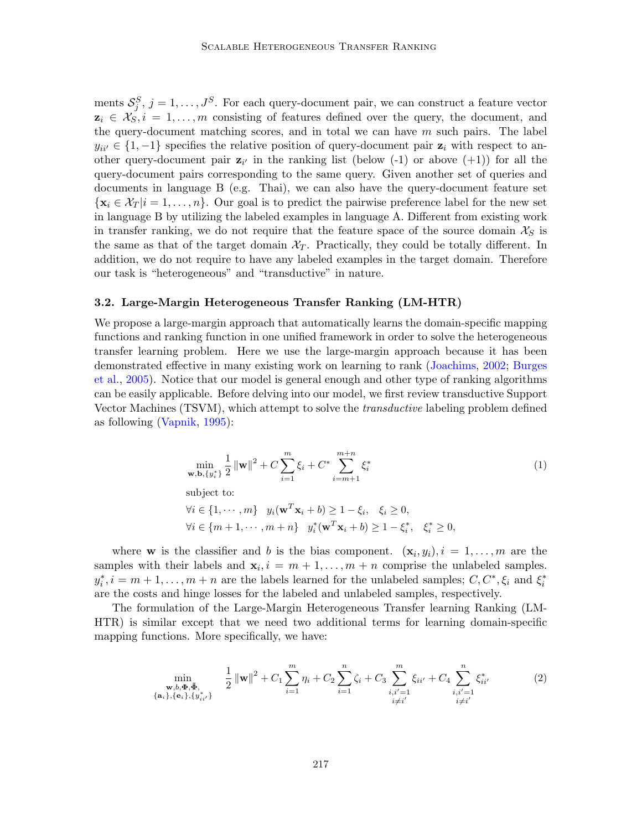ments  $S_j^S$ ,  $j = 1, \ldots, J^S$ . For each query-document pair, we can construct a feature vector  $z_i \in \mathcal{X}_{S,i}$ ,  $i = 1, \ldots, m$  consisting of features defined over the query, the document, and the query-document matching scores, and in total we can have  $m$  such pairs. The label  $y_{ii'} \in \{1, -1\}$  specifies the relative position of query-document pair  $z_i$  with respect to another query-document pair  $z_{i'}$  in the ranking list (below (-1) or above (+1)) for all the query-document pairs corresponding to the same query. Given another set of queries and documents in language B (e.g. Thai), we can also have the query-document feature set  ${x_i \in \mathcal{X}_T | i = 1, \ldots, n}$ . Our goal is to predict the pairwise preference label for the new set in language B by utilizing the labeled examples in language A. Different from existing work in transfer ranking, we do not require that the feature space of the source domain  $\mathcal{X}_S$  is the same as that of the target domain  $\mathcal{X}_T$ . Practically, they could be totally different. In addition, we do not require to have any labeled examples in the target domain. Therefore our task is "heterogeneous" and "transductive" in nature.

#### 3.2. Large-Margin Heterogeneous Transfer Ranking (LM-HTR)

We propose a large-margin approach that automatically learns the domain-specific mapping functions and ranking function in one unified framework in order to solve the heterogeneous transfer learning problem. Here we use the large-margin approach because it has been demonstrated effective in many existing work on learning to rank [\(Joachims,](#page-12-4) [2002;](#page-12-4) [Burges](#page-12-5) [et al.,](#page-12-5) [2005\)](#page-12-5). Notice that our model is general enough and other type of ranking algorithms can be easily applicable. Before delving into our model, we first review transductive Support Vector Machines (TSVM), which attempt to solve the transductive labeling problem defined as following [\(Vapnik,](#page-13-7) [1995\)](#page-13-7):

$$
\min_{\mathbf{w}, \mathbf{b}, \{y_i^*\}} \frac{1}{2} \left\| \mathbf{w} \right\|^2 + C \sum_{i=1}^m \xi_i + C^* \sum_{i=m+1}^{m+n} \xi_i^* \tag{1}
$$

subject to:

$$
\forall i \in \{1, \cdots, m\} \quad y_i(\mathbf{w}^T \mathbf{x}_i + b) \ge 1 - \xi_i, \quad \xi_i \ge 0,
$$
  

$$
\forall i \in \{m+1, \cdots, m+n\} \quad y_i^*(\mathbf{w}^T \mathbf{x}_i + b) \ge 1 - \xi_i^*, \quad \xi_i^* \ge 0,
$$

where **w** is the classifier and b is the bias component.  $(\mathbf{x}_i, y_i)$ ,  $i = 1, \ldots, m$  are the samples with their labels and  $\mathbf{x}_i, i = m+1, \ldots, m+n$  comprise the unlabeled samples.  $y_i^*, i = m+1, \ldots, m+n$  are the labels learned for the unlabeled samples;  $C, C^*, \xi_i$  and  $\xi_i^*$ are the costs and hinge losses for the labeled and unlabeled samples, respectively.

The formulation of the Large-Margin Heterogeneous Transfer learning Ranking (LM-HTR) is similar except that we need two additional terms for learning domain-specific mapping functions. More specifically, we have:

<span id="page-3-0"></span>
$$
\min_{\substack{\mathbf{w}, b, \mathbf{\Phi}, \tilde{\mathbf{\Phi}}_{i}, \mathbf{w}, \mathbf{w}, \mathbf{w}, \mathbf{w}, \mathbf{w}, \mathbf{w}, \mathbf{w}, \mathbf{w}, \mathbf{w}, \mathbf{w}, \mathbf{w}, \mathbf{w}, \mathbf{w}, \mathbf{w}, \mathbf{w}, \mathbf{w}, \mathbf{w}, \mathbf{w}, \mathbf{w}, \mathbf{w}, \mathbf{w}, \mathbf{w}, \mathbf{w}, \mathbf{w}, \mathbf{w}, \mathbf{w}, \mathbf{w}, \mathbf{w}, \mathbf{w}, \mathbf{w}, \mathbf{w}, \mathbf{w}, \mathbf{w}, \mathbf{w}, \mathbf{w}, \mathbf{w}, \mathbf{w}, \mathbf{w}, \mathbf{w}, \mathbf{w}, \mathbf{w}, \mathbf{w}, \mathbf{w}, \mathbf{w}, \mathbf{w}, \mathbf{w}, \mathbf{w}, \mathbf{w}, \mathbf{w}, \mathbf{w}, \mathbf{w}, \mathbf{w}, \mathbf{w}, \mathbf{w}, \mathbf{w}, \mathbf{w}, \mathbf{w}, \mathbf{w}, \mathbf{w}, \mathbf{w}, \mathbf{w}, \mathbf{w}, \mathbf{w}, \mathbf{w}, \mathbf{w}, \mathbf{w}, \mathbf{w}, \mathbf{w}, \mathbf{w}, \mathbf{w}, \mathbf{w}, \mathbf{w}, \mathbf{w}, \mathbf{w}, \mathbf{w}, \mathbf{w}, \mathbf{w}, \mathbf{w}, \mathbf{w}, \mathbf{w}, \mathbf{w}, \mathbf{w}, \mathbf{w}, \mathbf{w}, \mathbf{w}, \mathbf{w}, \mathbf{w}, \mathbf{w}, \mathbf{w}, \mathbf{w}, \mathbf{w}, \mathbf{w}, \mathbf{w}, \mathbf{w}, \mathbf{w}, \mathbf{w}, \mathbf{w}, \mathbf{w}, \mathbf{w}, \mathbf{w}, \mathbf{w}, \mathbf{w}, \mathbf{w}, \mathbf{w}, \mathbf{w}, \mathbf{w}, \mathbf{w}, \mathbf{w}, \mathbf{w}, \mathbf{w}, \mathbf{w}, \mathbf{w}, \mathbf{w}, \mathbf{w}, \mathbf{w}, \mathbf{w}, \mathbf{w}, \mathbf{w}, \mathbf{w}, \mathbf{w}, \mathbf{w}, \math
$$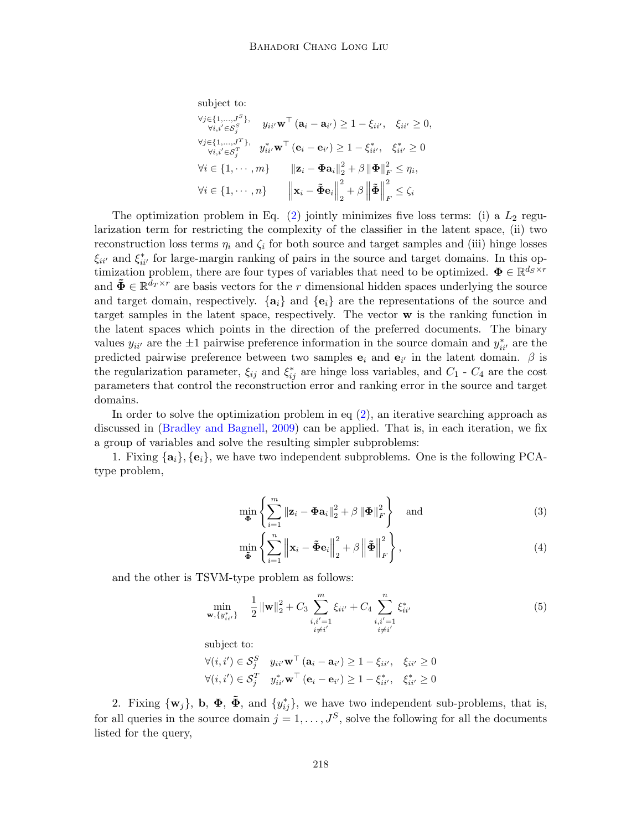subject to:  
\n
$$
\forall j \in \{1, ..., J^S\}, \quad y_{ii'} \mathbf{w}^\top (\mathbf{a}_i - \mathbf{a}_{i'}) \ge 1 - \xi_{ii'}, \quad \xi_{ii'} \ge 0,
$$
\n
$$
\forall j \in \{1, ..., J^T\}, \quad y_{ii'}^* \mathbf{w}^\top (\mathbf{e}_i - \mathbf{e}_{i'}) \ge 1 - \xi_{ii'}^*, \quad \xi_{ii'}^* \ge 0
$$
\n
$$
\forall i \in \{1, \cdots, m\} \quad \quad \|\mathbf{z}_i - \mathbf{\Phi} \mathbf{a}_i\|_2^2 + \beta \|\mathbf{\Phi}\|_F^2 \le \eta_i,
$$
\n
$$
\forall i \in \{1, \cdots, n\} \quad \quad \left\|\mathbf{x}_i - \mathbf{\tilde{\Phi}} \mathbf{e}_i\right\|_2^2 + \beta \left\|\mathbf{\tilde{\Phi}}\right\|_F^2 \le \zeta_i
$$

The optimization problem in Eq.  $(2)$  jointly minimizes five loss terms: (i) a  $L_2$  regularization term for restricting the complexity of the classifier in the latent space, (ii) two reconstruction loss terms  $\eta_i$  and  $\zeta_i$  for both source and target samples and (iii) hinge losses  $\xi_{ii'}$  and  $\xi_{ii'}^*$  for large-margin ranking of pairs in the source and target domains. In this optimization problem, there are four types of variables that need to be optimized.  $\mathbf{\Phi} \in \mathbb{R}^{d_S \times r}$ and  $\tilde{\Phi} \in \mathbb{R}^{d_T \times r}$  are basis vectors for the r dimensional hidden spaces underlying the source and target domain, respectively.  $\{a_i\}$  and  $\{e_i\}$  are the representations of the source and target samples in the latent space, respectively. The vector w is the ranking function in the latent spaces which points in the direction of the preferred documents. The binary values  $y_{ii'}$  are the  $\pm 1$  pairwise preference information in the source domain and  $y_{ii'}^*$  are the predicted pairwise preference between two samples  $e_i$  and  $e_{i'}$  in the latent domain.  $\beta$  is the regularization parameter,  $\xi_{ij}$  and  $\xi_{ij}^*$  are hinge loss variables, and  $C_1$  -  $C_4$  are the cost parameters that control the reconstruction error and ranking error in the source and target domains.

In order to solve the optimization problem in eq  $(2)$ , an iterative searching approach as discussed in [\(Bradley and Bagnell,](#page-12-13) [2009\)](#page-12-13) can be applied. That is, in each iteration, we fix a group of variables and solve the resulting simpler subproblems:

1. Fixing  $\{a_i\}$ ,  $\{e_i\}$ , we have two independent subproblems. One is the following PCAtype problem,

<span id="page-4-1"></span>
$$
\min_{\mathbf{\Phi}} \left\{ \sum_{i=1}^{m} \|\mathbf{z}_i - \mathbf{\Phi} \mathbf{a}_i\|_2^2 + \beta \left\| \mathbf{\Phi} \right\|_F^2 \right\} \quad \text{and} \tag{3}
$$

<span id="page-4-0"></span>
$$
\min_{\tilde{\Phi}} \left\{ \sum_{i=1}^{n} \left\| \mathbf{x}_i - \tilde{\Phi} \mathbf{e}_i \right\|_2^2 + \beta \left\| \tilde{\Phi} \right\|_F^2 \right\},\tag{4}
$$

and the other is TSVM-type problem as follows:

$$
\min_{\mathbf{w}, \{y_{ii'}^*\}} \quad \frac{1}{2} \left\| \mathbf{w} \right\|_2^2 + C_3 \sum_{\substack{i, i'=1 \\ i \neq i'}}^m \xi_{ii'} + C_4 \sum_{\substack{i, i'=1 \\ i \neq i'}}^n \xi_{ii'}^* \tag{5}
$$

subject to:

$$
\forall (i, i') \in \mathcal{S}_j^S \quad y_{ii'} \mathbf{w}^\top (\mathbf{a}_i - \mathbf{a}_{i'}) \ge 1 - \xi_{ii'}, \quad \xi_{ii'} \ge 0
$$
  

$$
\forall (i, i') \in \mathcal{S}_j^T \quad y_{ii'}^* \mathbf{w}^\top (\mathbf{e}_i - \mathbf{e}_{i'}) \ge 1 - \xi_{ii'}^*, \quad \xi_{ii'}^* \ge 0
$$

2. Fixing  $\{w_j\}$ , **b**,  $\Phi$ ,  $\tilde{\Phi}$ , and  $\{y_{ij}^*\}$ , we have two independent sub-problems, that is, for all queries in the source domain  $j = 1, \ldots, J^S$ , solve the following for all the documents listed for the query,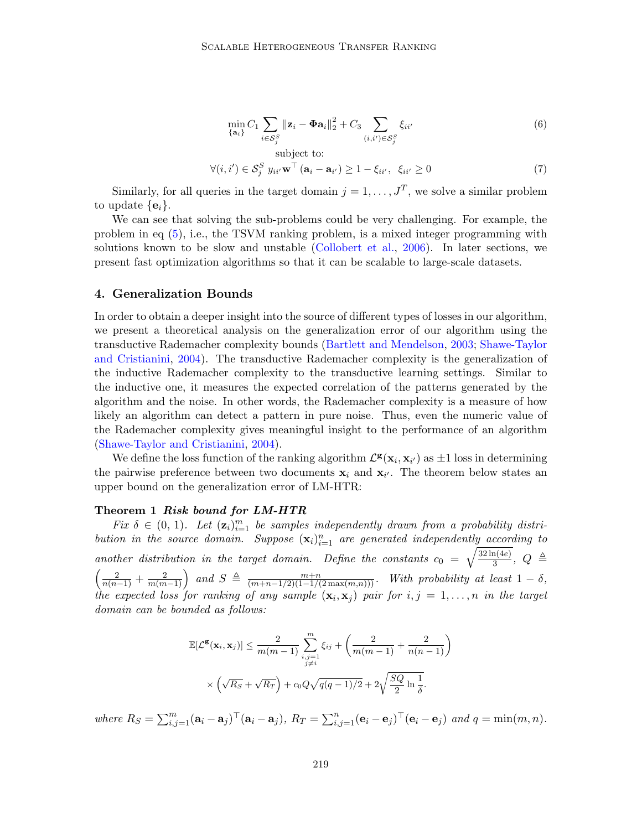<span id="page-5-1"></span>
$$
\min_{\{\mathbf{a}_i\}} C_1 \sum_{i \in \mathcal{S}_j^S} ||\mathbf{z}_i - \mathbf{\Phi} \mathbf{a}_i||_2^2 + C_3 \sum_{(i,i') \in \mathcal{S}_j^S} \xi_{ii'}
$$
(6)

subject to:  
\n
$$
\forall (i, i') \in \mathcal{S}_j^S \ y_{ii'} \mathbf{w}^\top (\mathbf{a}_i - \mathbf{a}_{i'}) \ge 1 - \xi_{ii'}, \ \xi_{ii'} \ge 0 \tag{7}
$$

Similarly, for all queries in the target domain  $j = 1, \ldots, J^T$ , we solve a similar problem to update  $\{\mathbf e_i\}$ .

We can see that solving the sub-problems could be very challenging. For example, the problem in eq [\(5\)](#page-4-0), i.e., the TSVM ranking problem, is a mixed integer programming with solutions known to be slow and unstable [\(Collobert et al.,](#page-12-14) [2006\)](#page-12-14). In later sections, we present fast optimization algorithms so that it can be scalable to large-scale datasets.

#### 4. Generalization Bounds

In order to obtain a deeper insight into the source of different types of losses in our algorithm, we present a theoretical analysis on the generalization error of our algorithm using the transductive Rademacher complexity bounds [\(Bartlett and Mendelson,](#page-12-15) [2003;](#page-12-15) [Shawe-Taylor](#page-13-8) [and Cristianini,](#page-13-8) [2004\)](#page-13-8). The transductive Rademacher complexity is the generalization of the inductive Rademacher complexity to the transductive learning settings. Similar to the inductive one, it measures the expected correlation of the patterns generated by the algorithm and the noise. In other words, the Rademacher complexity is a measure of how likely an algorithm can detect a pattern in pure noise. Thus, even the numeric value of the Rademacher complexity gives meaningful insight to the performance of an algorithm [\(Shawe-Taylor and Cristianini,](#page-13-8) [2004\)](#page-13-8).

We define the loss function of the ranking algorithm  $\mathcal{L}^{\mathbf{g}}(\mathbf{x}_i, \mathbf{x}_{i'})$  as  $\pm 1$  loss in determining the pairwise preference between two documents  $x_i$  and  $x_{i'}$ . The theorem below states an upper bound on the generalization error of LM-HTR:

#### <span id="page-5-0"></span>Theorem 1 Risk bound for LM-HTR

Fix  $\delta \in (0, 1)$ . Let  $(\mathbf{z}_i)_{i=1}^m$  be samples independently drawn from a probability distribution in the source domain. Suppose  $(\mathbf{x}_i)_{i=1}^n$  are generated independently according to another distribution in the target domain. Define the constants  $c_0 = \sqrt{\frac{32 \ln(4e)}{3}}$  $\frac{\ln(4e)}{3},\ Q \triangleq$  $\left(\frac{2}{n(n-1)}+\frac{2}{m(m-1)}\right)$  and  $S \triangleq \frac{m+n}{(m+n-1/2)(1-1/(2\max(m,n)))}$ . With probability at least  $1-\delta$ , the expected loss for ranking of any sample  $(\mathbf{x}_i, \mathbf{x}_j)$  pair for  $i, j = 1, \ldots, n$  in the target domain can be bounded as follows:

$$
\mathbb{E}[\mathcal{L}^{\mathbf{g}}(\mathbf{x}_i, \mathbf{x}_j)] \le \frac{2}{m(m-1)} \sum_{\substack{i,j=1 \ j \neq i}}^m \xi_{ij} + \left(\frac{2}{m(m-1)} + \frac{2}{n(n-1)}\right)
$$

$$
\times \left(\sqrt{R_S} + \sqrt{R_T}\right) + c_0 Q \sqrt{q(q-1)/2} + 2\sqrt{\frac{SQ}{2} \ln \frac{1}{\delta}}.
$$

where  $R_S = \sum_{i,j=1}^m (\mathbf{a}_i - \mathbf{a}_j)^\top (\mathbf{a}_i - \mathbf{a}_j)$ ,  $R_T = \sum_{i,j=1}^n (\mathbf{e}_i - \mathbf{e}_j)^\top (\mathbf{e}_i - \mathbf{e}_j)$  and  $q = \min(m, n)$ .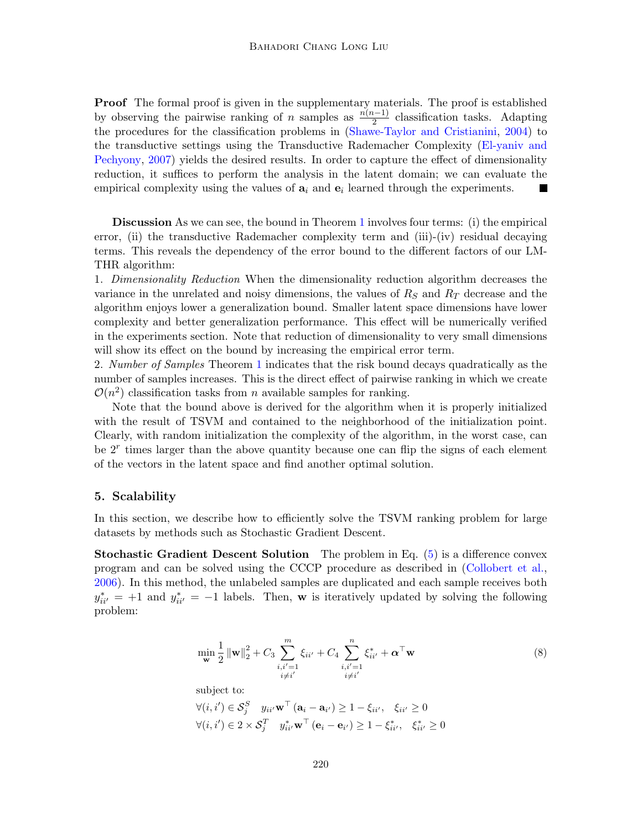Proof The formal proof is given in the supplementary materials. The proof is established by observing the pairwise ranking of n samples as  $\frac{n(n-1)}{2}$  classification tasks. Adapting the procedures for the classification problems in [\(Shawe-Taylor and Cristianini,](#page-13-8) [2004\)](#page-13-8) to the transductive settings using the Transductive Rademacher Complexity [\(El-yaniv and](#page-12-16) [Pechyony,](#page-12-16) [2007\)](#page-12-16) yields the desired results. In order to capture the effect of dimensionality reduction, it suffices to perform the analysis in the latent domain; we can evaluate the empirical complexity using the values of  $a_i$  and  $e_i$  learned through the experiments.

Discussion As we can see, the bound in Theorem [1](#page-5-0) involves four terms: (i) the empirical error, (ii) the transductive Rademacher complexity term and (iii)-(iv) residual decaying terms. This reveals the dependency of the error bound to the different factors of our LM-THR algorithm:

1. Dimensionality Reduction When the dimensionality reduction algorithm decreases the variance in the unrelated and noisy dimensions, the values of  $R<sub>S</sub>$  and  $R<sub>T</sub>$  decrease and the algorithm enjoys lower a generalization bound. Smaller latent space dimensions have lower complexity and better generalization performance. This effect will be numerically verified in the experiments section. Note that reduction of dimensionality to very small dimensions will show its effect on the bound by increasing the empirical error term.

2. Number of Samples Theorem [1](#page-5-0) indicates that the risk bound decays quadratically as the number of samples increases. This is the direct effect of pairwise ranking in which we create  $\mathcal{O}(n^2)$  classification tasks from *n* available samples for ranking.

Note that the bound above is derived for the algorithm when it is properly initialized with the result of TSVM and contained to the neighborhood of the initialization point. Clearly, with random initialization the complexity of the algorithm, in the worst case, can be  $2<sup>r</sup>$  times larger than the above quantity because one can flip the signs of each element of the vectors in the latent space and find another optimal solution.

#### 5. Scalability

In this section, we describe how to efficiently solve the TSVM ranking problem for large datasets by methods such as Stochastic Gradient Descent.

**Stochastic Gradient Descent Solution** The problem in Eq.  $(5)$  is a difference convex program and can be solved using the CCCP procedure as described in [\(Collobert et al.,](#page-12-14) [2006\)](#page-12-14). In this method, the unlabeled samples are duplicated and each sample receives both  $y_{ii'}^* = +1$  and  $y_{ii'}^* = -1$  labels. Then, w is iteratively updated by solving the following problem:

<span id="page-6-0"></span>
$$
\min_{\mathbf{w}} \frac{1}{2} \|\mathbf{w}\|_{2}^{2} + C_{3} \sum_{\substack{i,i'=1 \ i \neq i'}}^{m} \xi_{ii'} + C_{4} \sum_{\substack{i,i'=1 \ i \neq i'}}^{n} \xi_{ii'}^{*} + \boldsymbol{\alpha}^{\top} \mathbf{w}
$$
\nsubject to:  
\n
$$
\forall (i,i') \in \mathcal{S}_{j}^{S} \quad y_{ii'} \mathbf{w}^{\top} (\mathbf{a}_{i} - \mathbf{a}_{i'}) \ge 1 - \xi_{ii'}, \quad \xi_{ii'} \ge 0
$$
\n
$$
\forall (i,i') \in 2 \times \mathcal{S}_{j}^{T} \quad y_{ii'}^{*} \mathbf{w}^{\top} (\mathbf{e}_{i} - \mathbf{e}_{i'}) \ge 1 - \xi_{ii'}^{*}, \quad \xi_{ii'}^{*} \ge 0
$$
\n(8)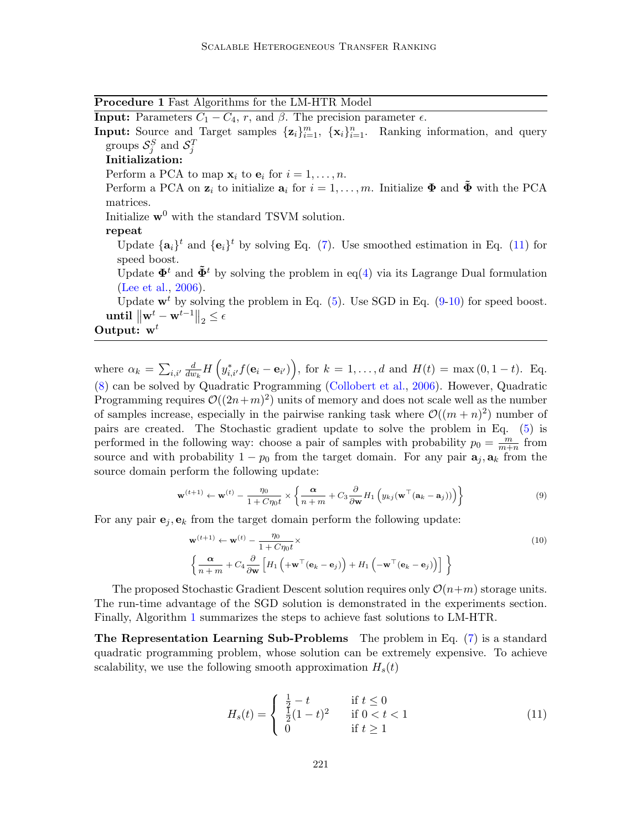Procedure 1 Fast Algorithms for the LM-HTR Model

<span id="page-7-3"></span>**Input:** Parameters  $C_1 - C_4$ , r, and  $\beta$ . The precision parameter  $\epsilon$ .

Input: Source and Target samples  $\{z_i\}_{i=1}^m$ ,  $\{x_i\}_{i=1}^n$ . Ranking information, and query groups  $\mathcal{S}_j^S$  and  $\mathcal{S}_j^T$ 

## Initialization:

Perform a PCA to map  $\mathbf{x}_i$  to  $\mathbf{e}_i$  for  $i = 1, \ldots, n$ .

Perform a PCA on  $z_i$  to initialize  $a_i$  for  $i = 1, \ldots, m$ . Initialize  $\Phi$  and  $\tilde{\Phi}$  with the PCA matrices.

Initialize  $\mathbf{w}^0$  with the standard TSVM solution.

## repeat

Update  $\{a_i\}^t$  and  $\{e_i\}^t$  by solving Eq. [\(7\)](#page-5-1). Use smoothed estimation in Eq. [\(11\)](#page-7-0) for speed boost.

Update  $\mathbf{\Phi}^t$  and  $\tilde{\mathbf{\Phi}}^t$  by solving the problem in eq[\(4\)](#page-4-1) via its Lagrange Dual formulation [\(Lee et al.,](#page-12-17) [2006\)](#page-12-17).

Update  $w^t$  by solving the problem in Eq. [\(5\)](#page-4-0). Use SGD in Eq. [\(9-](#page-7-1)[10\)](#page-7-2) for speed boost.  $\text{until } \left\|\textbf{w}^t - \textbf{w}^{t-1}\right\|_2 \leq \epsilon$ 

Output:  $w^t$ 

where  $\alpha_k = \sum_{i,i'} \frac{d}{du}$  $\frac{d}{dw_k} H\left(y^*_{i,i'}f(\mathbf{e}_i - \mathbf{e}_{i'})\right)$ , for  $k = 1, ..., d$  and  $H(t) = \max(0, 1-t)$ . Eq. [\(8\)](#page-6-0) can be solved by Quadratic Programming [\(Collobert et al.,](#page-12-14) [2006\)](#page-12-14). However, Quadratic Programming requires  $\mathcal{O}((2n+m)^2)$  units of memory and does not scale well as the number of samples increase, especially in the pairwise ranking task where  $\mathcal{O}((m+n)^2)$  number of pairs are created. The Stochastic gradient update to solve the problem in Eq. [\(5\)](#page-4-0) is performed in the following way: choose a pair of samples with probability  $p_0 = \frac{m}{m+1}$  $\frac{m}{m+n}$  from source and with probability  $1 - p_0$  from the target domain. For any pair  $a_j, a_k$  from the source domain perform the following update:

<span id="page-7-1"></span>
$$
\mathbf{w}^{(t+1)} \leftarrow \mathbf{w}^{(t)} - \frac{\eta_0}{1 + C\eta_0 t} \times \left\{ \frac{\alpha}{n+m} + C_3 \frac{\partial}{\partial \mathbf{w}} H_1 \left( y_{kj} (\mathbf{w}^\top (\mathbf{a}_k - \mathbf{a}_j)) \right) \right\} \tag{9}
$$

For any pair  $e_i, e_k$  from the target domain perform the following update:

<span id="page-7-2"></span>
$$
\mathbf{w}^{(t+1)} \leftarrow \mathbf{w}^{(t)} - \frac{\eta_0}{1 + C\eta_0 t} \times \left\{ \frac{\alpha}{n+m} + C_4 \frac{\partial}{\partial \mathbf{w}} \left[ H_1 \left( +\mathbf{w}^\top (\mathbf{e}_k - \mathbf{e}_j) \right) + H_1 \left( -\mathbf{w}^\top (\mathbf{e}_k - \mathbf{e}_j) \right) \right] \right\}
$$
\n(10)

The proposed Stochastic Gradient Descent solution requires only  $\mathcal{O}(n+m)$  storage units. The run-time advantage of the SGD solution is demonstrated in the experiments section. Finally, Algorithm [1](#page-7-3) summarizes the steps to achieve fast solutions to LM-HTR.

The Representation Learning Sub-Problems The problem in Eq. [\(7\)](#page-5-1) is a standard quadratic programming problem, whose solution can be extremely expensive. To achieve scalability, we use the following smooth approximation  $H_s(t)$ 

<span id="page-7-0"></span>
$$
H_s(t) = \begin{cases} \frac{1}{2} - t & \text{if } t \le 0\\ \frac{1}{2}(1-t)^2 & \text{if } 0 < t < 1\\ 0 & \text{if } t \ge 1 \end{cases}
$$
(11)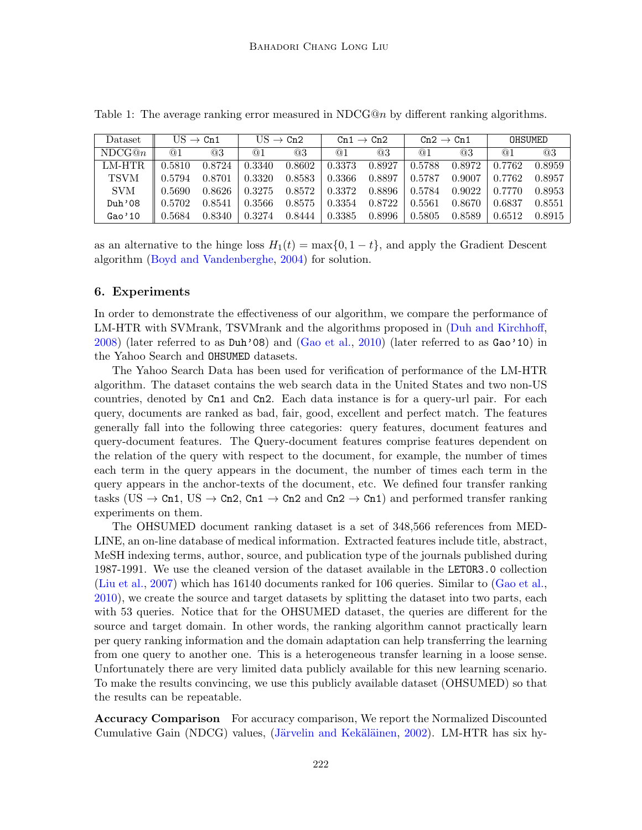| <b>Dataset</b> | $US \rightarrow Cn1$ |        | $US \rightarrow Cn2$ |        | Cn1 $\rightarrow$ Cn2 |        | $Cn2 \rightarrow Cn1$ |        | OHSUMED |        |
|----------------|----------------------|--------|----------------------|--------|-----------------------|--------|-----------------------|--------|---------|--------|
| NDCG@n         | @1                   | @3     | @1                   | @3     | @1                    | @3     | @1                    | @3     | @1      | @3     |
| LM-HTR         | 0.5810               | 0.8724 | 0.3340               | 0.8602 | 0.3373                | 0.8927 | 0.5788                | 0.8972 | 0.7762  | 0.8959 |
| <b>TSVM</b>    | 0.5794               | 0.8701 | 0.3320               | 0.8583 | 0.3366                | 0.8897 | 0.5787                | 0.9007 | 0.7762  | 0.8957 |
| <b>SVM</b>     | 0.5690               | 0.8626 | 0.3275               | 0.8572 | 0.3372                | 0.8896 | 0.5784                | 0.9022 | 0.7770  | 0.8953 |
| Duh'08         | 0.5702               | 0.8541 | 0.3566               | 0.8575 | 0.3354                | 0.8722 | 0.5561                | 0.8670 | 0.6837  | 0.8551 |
| Gao'10         | 0.5684               | 0.8340 | 0.3274               | 0.8444 | 0.3385                | 0.8996 | 0.5805                | 0.8589 | 0.6512  | 0.8915 |

<span id="page-8-0"></span>Table 1: The average ranking error measured in NDCG@n by different ranking algorithms.

as an alternative to the hinge loss  $H_1(t) = \max\{0, 1 - t\}$ , and apply the Gradient Descent algorithm [\(Boyd and Vandenberghe,](#page-12-18) [2004\)](#page-12-18) for solution.

#### 6. Experiments

In order to demonstrate the effectiveness of our algorithm, we compare the performance of LM-HTR with SVMrank, TSVMrank and the algorithms proposed in [\(Duh and Kirchhoff,](#page-12-11) [2008\)](#page-12-11) (later referred to as Duh'08) and [\(Gao et al.,](#page-12-10) [2010\)](#page-12-10) (later referred to as Gao'10) in the Yahoo Search and OHSUMED datasets.

The Yahoo Search Data has been used for verification of performance of the LM-HTR algorithm. The dataset contains the web search data in the United States and two non-US countries, denoted by Cn1 and Cn2. Each data instance is for a query-url pair. For each query, documents are ranked as bad, fair, good, excellent and perfect match. The features generally fall into the following three categories: query features, document features and query-document features. The Query-document features comprise features dependent on the relation of the query with respect to the document, for example, the number of times each term in the query appears in the document, the number of times each term in the query appears in the anchor-texts of the document, etc. We defined four transfer ranking tasks (US  $\rightarrow$  Cn1, US  $\rightarrow$  Cn2, Cn1  $\rightarrow$  Cn2 and Cn2  $\rightarrow$  Cn1) and performed transfer ranking experiments on them.

The OHSUMED document ranking dataset is a set of 348,566 references from MED-LINE, an on-line database of medical information. Extracted features include title, abstract, MeSH indexing terms, author, source, and publication type of the journals published during 1987-1991. We use the cleaned version of the dataset available in the LETOR3.0 collection [\(Liu et al.,](#page-12-19) [2007\)](#page-12-19) which has 16140 documents ranked for 106 queries. Similar to [\(Gao et al.,](#page-12-10) [2010\)](#page-12-10), we create the source and target datasets by splitting the dataset into two parts, each with 53 queries. Notice that for the OHSUMED dataset, the queries are different for the source and target domain. In other words, the ranking algorithm cannot practically learn per query ranking information and the domain adaptation can help transferring the learning from one query to another one. This is a heterogeneous transfer learning in a loose sense. Unfortunately there are very limited data publicly available for this new learning scenario. To make the results convincing, we use this publicly available dataset (OHSUMED) so that the results can be repeatable.

Accuracy Comparison For accuracy comparison, We report the Normalized Discounted Cumulative Gain (NDCG) values, (Järvelin and Kekäläinen, [2002\)](#page-12-20). LM-HTR has six hy-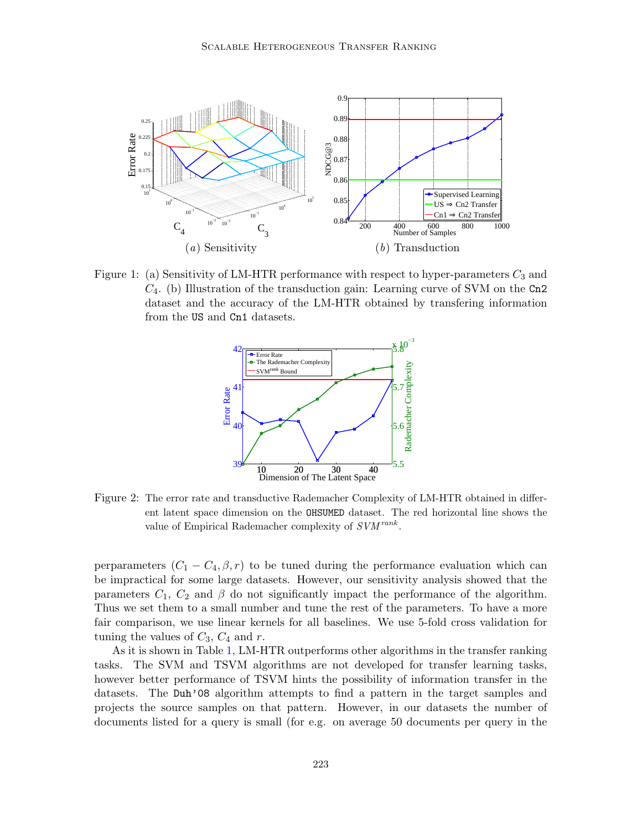

Figure 1: (a) Sensitivity of LM-HTR performance with respect to hyper-parameters  $C_3$  and  $C_4$ . (b) Illustration of the transduction gain: Learning curve of SVM on the Cn2 dataset and the accuracy of the LM-HTR obtained by transfering information from the US and Cn1 datasets.

<span id="page-9-1"></span><span id="page-9-0"></span>

Figure 2: The error rate and transductive Rademacher Complexity of LM-HTR obtained in different latent space dimension on the OHSUMED dataset. The red horizontal line shows the value of Empirical Rademacher complexity of  $SVM^{rank}$ .

perparameters  $(C_1 - C_4, \beta, r)$  to be tuned during the performance evaluation which can be impractical for some large datasets. However, our sensitivity analysis showed that the parameters  $C_1$ ,  $C_2$  and  $\beta$  do not significantly impact the performance of the algorithm. Thus we set them to a small number and tune the rest of the parameters. To have a more fair comparison, we use linear kernels for all baselines. We use 5-fold cross validation for tuning the values of  $C_3$ ,  $C_4$  and r.

As it is shown in Table [1,](#page-8-0) LM-HTR outperforms other algorithms in the transfer ranking tasks. The SVM and TSVM algorithms are not developed for transfer learning tasks, however better performance of TSVM hints the possibility of information transfer in the datasets. The Duh'08 algorithm attempts to find a pattern in the target samples and projects the source samples on that pattern. However, in our datasets the number of documents listed for a query is small (for e.g. on average 50 documents per query in the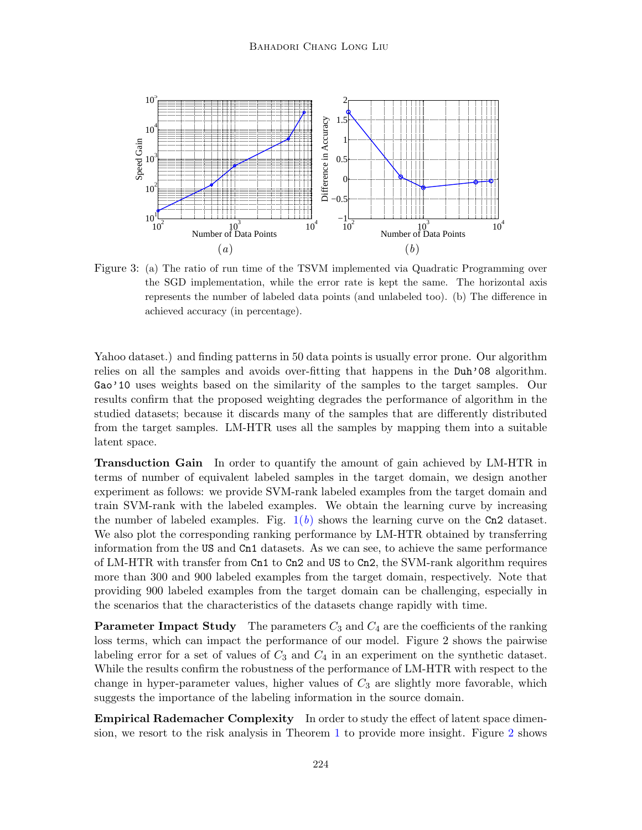<span id="page-10-0"></span>

<span id="page-10-1"></span>Figure 3: (a) The ratio of run time of the TSVM implemented via Quadratic Programming over the SGD implementation, while the error rate is kept the same. The horizontal axis represents the number of labeled data points (and unlabeled too). (b) The difference in achieved accuracy (in percentage).

Yahoo dataset.) and finding patterns in 50 data points is usually error prone. Our algorithm relies on all the samples and avoids over-fitting that happens in the Duh'08 algorithm. Gao'10 uses weights based on the similarity of the samples to the target samples. Our results confirm that the proposed weighting degrades the performance of algorithm in the studied datasets; because it discards many of the samples that are differently distributed from the target samples. LM-HTR uses all the samples by mapping them into a suitable latent space.

Transduction Gain In order to quantify the amount of gain achieved by LM-HTR in terms of number of equivalent labeled samples in the target domain, we design another experiment as follows: we provide SVM-rank labeled examples from the target domain and train SVM-rank with the labeled examples. We obtain the learning curve by increasing the number of labeled examples. Fig.  $1(b)$  $1(b)$  shows the learning curve on the Cn2 dataset. We also plot the corresponding ranking performance by LM-HTR obtained by transferring information from the US and Cn1 datasets. As we can see, to achieve the same performance of LM-HTR with transfer from Cn1 to Cn2 and US to Cn2, the SVM-rank algorithm requires more than 300 and 900 labeled examples from the target domain, respectively. Note that providing 900 labeled examples from the target domain can be challenging, especially in the scenarios that the characteristics of the datasets change rapidly with time.

**Parameter Impact Study** The parameters  $C_3$  and  $C_4$  are the coefficients of the ranking loss terms, which can impact the performance of our model. Figure 2 shows the pairwise labeling error for a set of values of  $C_3$  and  $C_4$  in an experiment on the synthetic dataset. While the results confirm the robustness of the performance of LM-HTR with respect to the change in hyper-parameter values, higher values of  $C_3$  are slightly more favorable, which suggests the importance of the labeling information in the source domain.

**Empirical Rademacher Complexity** In order to study the effect of latent space dimension, we resort to the risk analysis in Theorem [1](#page-5-0) to provide more insight. Figure [2](#page-9-1) shows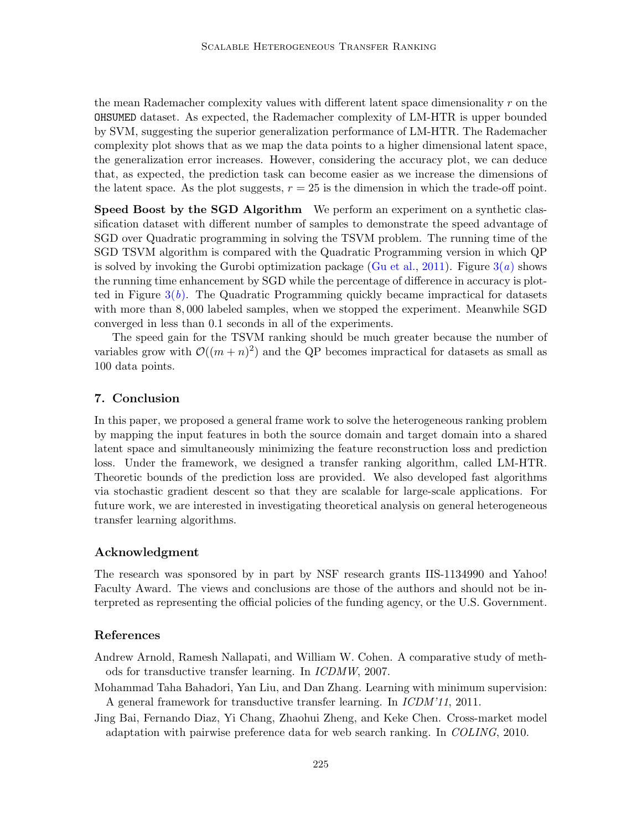the mean Rademacher complexity values with different latent space dimensionality  $r$  on the OHSUMED dataset. As expected, the Rademacher complexity of LM-HTR is upper bounded by SVM, suggesting the superior generalization performance of LM-HTR. The Rademacher complexity plot shows that as we map the data points to a higher dimensional latent space, the generalization error increases. However, considering the accuracy plot, we can deduce that, as expected, the prediction task can become easier as we increase the dimensions of the latent space. As the plot suggests,  $r = 25$  is the dimension in which the trade-off point.

Speed Boost by the SGD Algorithm We perform an experiment on a synthetic classification dataset with different number of samples to demonstrate the speed advantage of SGD over Quadratic programming in solving the TSVM problem. The running time of the SGD TSVM algorithm is compared with the Quadratic Programming version in which QP is solved by invoking the Gurobi optimization package [\(Gu et al.,](#page-12-21) [2011\)](#page-12-21). Figure  $3(a)$  $3(a)$  shows the running time enhancement by SGD while the percentage of difference in accuracy is plotted in Figure  $3(b)$  $3(b)$ . The Quadratic Programming quickly became impractical for datasets with more than 8, 000 labeled samples, when we stopped the experiment. Meanwhile SGD converged in less than 0.1 seconds in all of the experiments.

The speed gain for the TSVM ranking should be much greater because the number of variables grow with  $\mathcal{O}((m+n)^2)$  and the QP becomes impractical for datasets as small as 100 data points.

## 7. Conclusion

In this paper, we proposed a general frame work to solve the heterogeneous ranking problem by mapping the input features in both the source domain and target domain into a shared latent space and simultaneously minimizing the feature reconstruction loss and prediction loss. Under the framework, we designed a transfer ranking algorithm, called LM-HTR. Theoretic bounds of the prediction loss are provided. We also developed fast algorithms via stochastic gradient descent so that they are scalable for large-scale applications. For future work, we are interested in investigating theoretical analysis on general heterogeneous transfer learning algorithms.

#### Acknowledgment

The research was sponsored by in part by NSF research grants IIS-1134990 and Yahoo! Faculty Award. The views and conclusions are those of the authors and should not be interpreted as representing the official policies of the funding agency, or the U.S. Government.

## References

- <span id="page-11-1"></span>Andrew Arnold, Ramesh Nallapati, and William W. Cohen. A comparative study of methods for transductive transfer learning. In ICDMW, 2007.
- <span id="page-11-2"></span>Mohammad Taha Bahadori, Yan Liu, and Dan Zhang. Learning with minimum supervision: A general framework for transductive transfer learning. In ICDM'11, 2011.
- <span id="page-11-0"></span>Jing Bai, Fernando Diaz, Yi Chang, Zhaohui Zheng, and Keke Chen. Cross-market model adaptation with pairwise preference data for web search ranking. In COLING, 2010.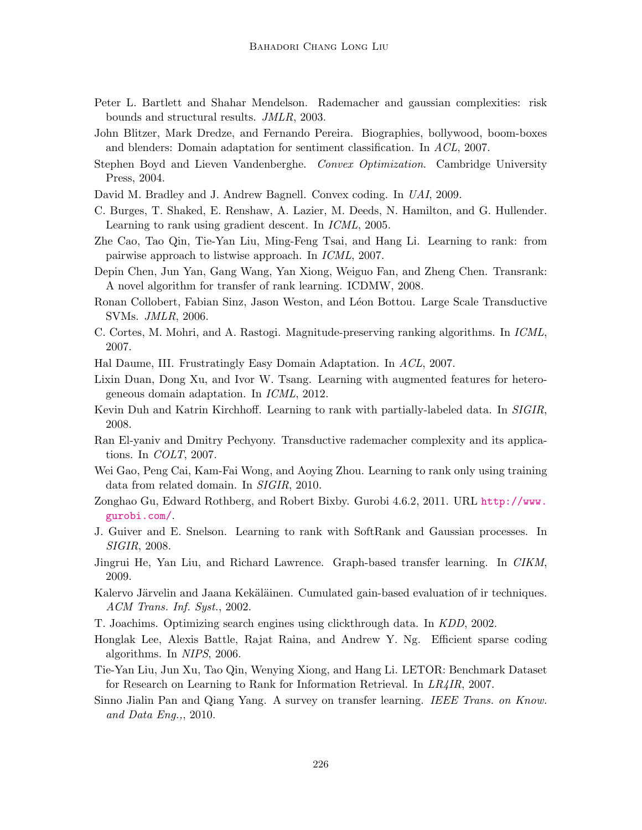- <span id="page-12-15"></span>Peter L. Bartlett and Shahar Mendelson. Rademacher and gaussian complexities: risk bounds and structural results. JMLR, 2003.
- <span id="page-12-2"></span>John Blitzer, Mark Dredze, and Fernando Pereira. Biographies, bollywood, boom-boxes and blenders: Domain adaptation for sentiment classification. In ACL, 2007.
- <span id="page-12-18"></span>Stephen Boyd and Lieven Vandenberghe. Convex Optimization. Cambridge University Press, 2004.
- <span id="page-12-13"></span>David M. Bradley and J. Andrew Bagnell. Convex coding. In UAI, 2009.
- <span id="page-12-5"></span>C. Burges, T. Shaked, E. Renshaw, A. Lazier, M. Deeds, N. Hamilton, and G. Hullender. Learning to rank using gradient descent. In ICML, 2005.
- <span id="page-12-8"></span>Zhe Cao, Tao Qin, Tie-Yan Liu, Ming-Feng Tsai, and Hang Li. Learning to rank: from pairwise approach to listwise approach. In ICML, 2007.
- <span id="page-12-9"></span>Depin Chen, Jun Yan, Gang Wang, Yan Xiong, Weiguo Fan, and Zheng Chen. Transrank: A novel algorithm for transfer of rank learning. ICDMW, 2008.
- <span id="page-12-14"></span>Ronan Collobert, Fabian Sinz, Jason Weston, and Léon Bottou. Large Scale Transductive SVMs. JMLR, 2006.
- <span id="page-12-6"></span>C. Cortes, M. Mohri, and A. Rastogi. Magnitude-preserving ranking algorithms. In ICML, 2007.
- <span id="page-12-1"></span>Hal Daume, III. Frustratingly Easy Domain Adaptation. In ACL, 2007.
- <span id="page-12-12"></span>Lixin Duan, Dong Xu, and Ivor W. Tsang. Learning with augmented features for heterogeneous domain adaptation. In ICML, 2012.
- <span id="page-12-11"></span>Kevin Duh and Katrin Kirchhoff. Learning to rank with partially-labeled data. In SIGIR, 2008.
- <span id="page-12-16"></span>Ran El-yaniv and Dmitry Pechyony. Transductive rademacher complexity and its applications. In COLT, 2007.
- <span id="page-12-10"></span>Wei Gao, Peng Cai, Kam-Fai Wong, and Aoying Zhou. Learning to rank only using training data from related domain. In SIGIR, 2010.
- <span id="page-12-21"></span>Zonghao Gu, Edward Rothberg, and Robert Bixby. Gurobi 4.6.2, 2011. URL [http://www.](http://www.gurobi.com/) [gurobi.com/](http://www.gurobi.com/).
- <span id="page-12-7"></span>J. Guiver and E. Snelson. Learning to rank with SoftRank and Gaussian processes. In SIGIR, 2008.
- <span id="page-12-3"></span>Jingrui He, Yan Liu, and Richard Lawrence. Graph-based transfer learning. In CIKM, 2009.
- <span id="page-12-20"></span>Kalervo Järvelin and Jaana Kekäläinen. Cumulated gain-based evaluation of ir techniques. ACM Trans. Inf. Syst., 2002.
- <span id="page-12-4"></span>T. Joachims. Optimizing search engines using clickthrough data. In KDD, 2002.
- <span id="page-12-17"></span>Honglak Lee, Alexis Battle, Rajat Raina, and Andrew Y. Ng. Efficient sparse coding algorithms. In NIPS, 2006.
- <span id="page-12-19"></span>Tie-Yan Liu, Jun Xu, Tao Qin, Wenying Xiong, and Hang Li. LETOR: Benchmark Dataset for Research on Learning to Rank for Information Retrieval. In LR4IR, 2007.
- <span id="page-12-0"></span>Sinno Jialin Pan and Qiang Yang. A survey on transfer learning. IEEE Trans. on Know. and Data Eng.,, 2010.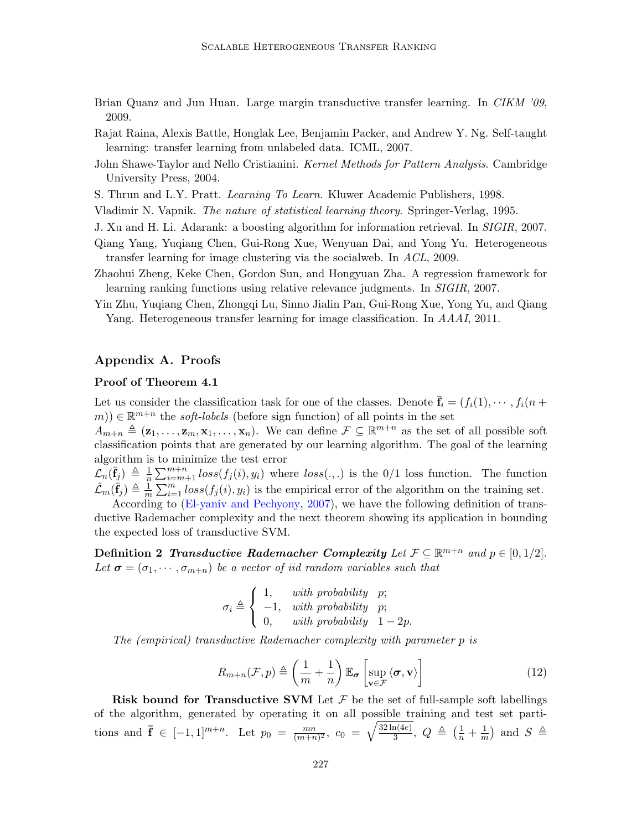- <span id="page-13-6"></span>Brian Quanz and Jun Huan. Large margin transductive transfer learning. In CIKM '09, 2009.
- <span id="page-13-1"></span>Rajat Raina, Alexis Battle, Honglak Lee, Benjamin Packer, and Andrew Y. Ng. Self-taught learning: transfer learning from unlabeled data. ICML, 2007.
- <span id="page-13-8"></span>John Shawe-Taylor and Nello Cristianini. *Kernel Methods for Pattern Analysis*. Cambridge University Press, 2004.
- <span id="page-13-0"></span>S. Thrun and L.Y. Pratt. Learning To Learn. Kluwer Academic Publishers, 1998.

<span id="page-13-7"></span>Vladimir N. Vapnik. The nature of statistical learning theory. Springer-Verlag, 1995.

- <span id="page-13-2"></span>J. Xu and H. Li. Adarank: a boosting algorithm for information retrieval. In SIGIR, 2007.
- <span id="page-13-4"></span>Qiang Yang, Yuqiang Chen, Gui-Rong Xue, Wenyuan Dai, and Yong Yu. Heterogeneous transfer learning for image clustering via the socialweb. In ACL, 2009.
- <span id="page-13-3"></span>Zhaohui Zheng, Keke Chen, Gordon Sun, and Hongyuan Zha. A regression framework for learning ranking functions using relative relevance judgments. In SIGIR, 2007.
- <span id="page-13-5"></span>Yin Zhu, Yuqiang Chen, Zhongqi Lu, Sinno Jialin Pan, Gui-Rong Xue, Yong Yu, and Qiang Yang. Heterogeneous transfer learning for image classification. In AAAI, 2011.

# Appendix A. Proofs

#### Proof of Theorem 4.1

Let us consider the classification task for one of the classes. Denote  $f_i = (f_i(1), \dots, f_i(n))$  $(m(n)) \in \mathbb{R}^{m+n}$  the *soft-labels* (before sign function) of all points in the set

 $A_{m+n} \triangleq (\mathbf{z}_1, \ldots, \mathbf{z}_m, \mathbf{x}_1, \ldots, \mathbf{x}_n)$ . We can define  $\mathcal{F} \subseteq \mathbb{R}^{m+n}$  as the set of all possible soft classification points that are generated by our learning algorithm. The goal of the learning algorithm is to minimize the test error

 $\mathcal{L}_n(\bar{\mathbf{f}}_j) \triangleq \frac{1}{n}$  $\frac{1}{n}\sum_{i=m+1}^{m+n}loss(f_j(i), y_i)$  where  $loss(.,.)$  is the 0/1 loss function. The function  $\hat{\mathcal{L}}_m(\bar{\mathbf{f}}_j) \triangleq \frac{1}{m}$  $\frac{1}{m}\sum_{i=1}^{m} loss(f_j(i), y_i)$  is the empirical error of the algorithm on the training set.

According to [\(El-yaniv and Pechyony,](#page-12-16) [2007\)](#page-12-16), we have the following definition of transductive Rademacher complexity and the next theorem showing its application in bounding the expected loss of transductive SVM.

Definition 2 Transductive Rademacher Complexity Let  $\mathcal{F} \subseteq \mathbb{R}^{m+n}$  and  $p \in [0,1/2]$ . Let  $\sigma = (\sigma_1, \dots, \sigma_{m+n})$  be a vector of iid random variables such that

$$
\sigma_i \triangleq \left\{ \begin{array}{ll} 1, & with \ probability & p; \\ -1, & with \ probability & p; \\ 0, & with \ probability & 1-2p. \end{array} \right.
$$

The (empirical) transductive Rademacher complexity with parameter p is

$$
R_{m+n}(\mathcal{F},p) \triangleq \left(\frac{1}{m} + \frac{1}{n}\right) \mathbb{E}_{\sigma} \left[\sup_{\mathbf{v} \in \mathcal{F}} \langle \sigma, \mathbf{v} \rangle \right]
$$
(12)

**Risk bound for Transductive SVM** Let  $\mathcal F$  be the set of full-sample soft labellings of the algorithm, generated by operating it on all possible training and test set partitions and  $\mathbf{\bar{f}} \in [-1,1]^{m+n}$ . Let  $p_0 = \frac{mn}{(m+n)}$  $\frac{mn}{(m+n)^2}, \, \, c_0 \; = \; \sqrt{\frac{32 \ln (4e)}{3}}$  $\frac{\ln(4e)}{3},\,\,Q\,\,\triangleq\,\,\big(\frac{1}{n}+\frac{1}{m}\big)$  $\frac{1}{m}$  and  $S \triangleq$